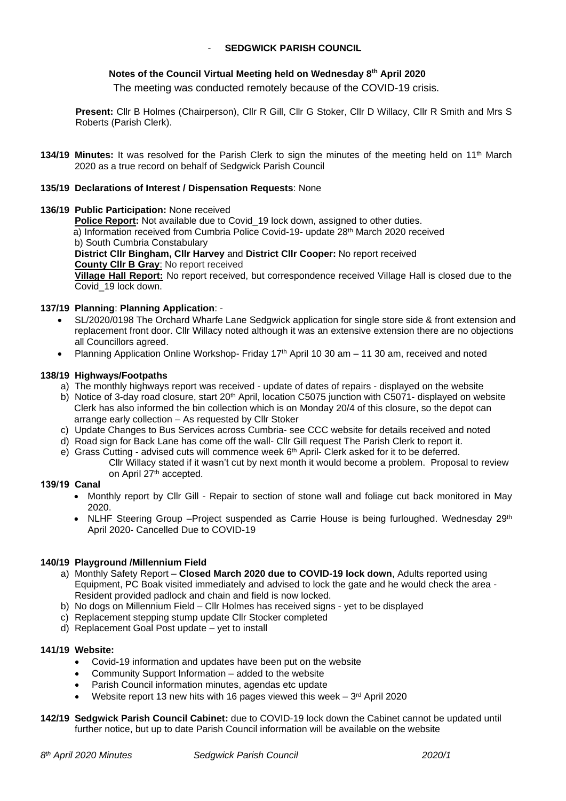### **SEDGWICK PARISH COUNCIL**

## **Notes of the Council Virtual Meeting held on Wednesday 8 th April 2020**

The meeting was conducted remotely because of the COVID-19 crisis.

**Present:** Cllr B Holmes (Chairperson), Cllr R Gill, Cllr G Stoker, Cllr D Willacy, Cllr R Smith and Mrs S Roberts (Parish Clerk).

**134/19 Minutes:** It was resolved for the Parish Clerk to sign the minutes of the meeting held on 11th March 2020 as a true record on behalf of Sedgwick Parish Council

#### **135/19 Declarations of Interest / Dispensation Requests**: None

**136/19 Public Participation:** None received

**Police Report:** Not available due to Covid\_19 lock down, assigned to other duties.

a) Information received from Cumbria Police Covid-19- update 28<sup>th</sup> March 2020 received b) South Cumbria Constabulary

**District Cllr Bingham, Cllr Harvey** and **District Cllr Cooper:** No report received **County Cllr B Gray**: No report received

**Village Hall Report:** No report received, but correspondence received Village Hall is closed due to the Covid\_19 lock down.

#### **137/19 Planning**: **Planning Application**: -

- SL/2020/0198 The Orchard Wharfe Lane Sedgwick application for single store side & front extension and replacement front door. Cllr Willacy noted although it was an extensive extension there are no objections all Councillors agreed.
- Planning Application Online Workshop- Friday 17<sup>th</sup> April 10 30 am 11 30 am, received and noted

#### **138/19 Highways/Footpaths**

- a) The monthly highways report was received update of dates of repairs displayed on the website
- b) Notice of 3-day road closure, start 20<sup>th</sup> April, location C5075 junction with C5071- displayed on website Clerk has also informed the bin collection which is on Monday 20/4 of this closure, so the depot can arrange early collection – As requested by Cllr Stoker
- c) Update Changes to Bus Services across Cumbria- see CCC website for details received and noted
- d) Road sign for Back Lane has come off the wall- Cllr Gill request The Parish Clerk to report it.
- e) Grass Cutting advised cuts will commence week 6<sup>th</sup> April- Clerk asked for it to be deferred.
	- Cllr Willacy stated if it wasn't cut by next month it would become a problem. Proposal to review on April 27<sup>th</sup> accepted.

### **139/19 Canal**

- Monthly report by Cllr Gill Repair to section of stone wall and foliage cut back monitored in May 2020.
- NLHF Steering Group -Project suspended as Carrie House is being furloughed. Wednesday 29<sup>th</sup> April 2020- Cancelled Due to COVID-19

#### **140/19 Playground /Millennium Field**

- a) Monthly Safety Report **Closed March 2020 due to COVID-19 lock down**, Adults reported using Equipment, PC Boak visited immediately and advised to lock the gate and he would check the area - Resident provided padlock and chain and field is now locked.
- b) No dogs on Millennium Field Cllr Holmes has received signs yet to be displayed
- c) Replacement stepping stump update Cllr Stocker completed
- d) Replacement Goal Post update yet to install

#### **141/19 Website:**

- Covid-19 information and updates have been put on the website
- Community Support Information added to the website
- Parish Council information minutes, agendas etc update
- Website report 13 new hits with 16 pages viewed this week  $-3<sup>rd</sup>$  April 2020
- **142/19 Sedgwick Parish Council Cabinet:** due to COVID-19 lock down the Cabinet cannot be updated until further notice, but up to date Parish Council information will be available on the website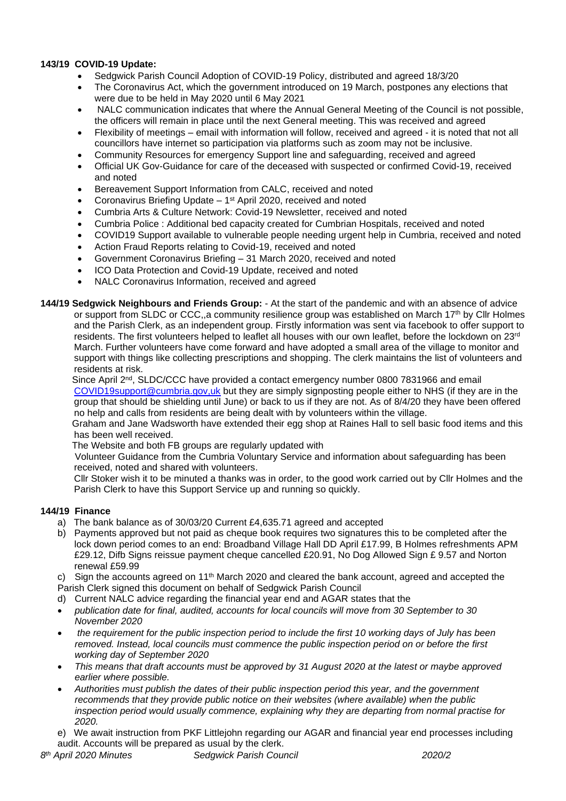## **143/19 COVID-19 Update:**

- Sedgwick Parish Council Adoption of COVID-19 Policy, distributed and agreed 18/3/20
- The Coronavirus Act, which the government introduced on 19 March, postpones any elections that were due to be held in May 2020 until 6 May 2021
- NALC communication indicates that where the Annual General Meeting of the Council is not possible, the officers will remain in place until the next General meeting. This was received and agreed
- Flexibility of meetings email with information will follow, received and agreed it is noted that not all councillors have internet so participation via platforms such as zoom may not be inclusive.
- Community Resources for emergency Support line and safeguarding, received and agreed
- Official UK Gov-Guidance for care of the deceased with suspected or confirmed Covid-19, received and noted
- Bereavement Support Information from CALC, received and noted
- Coronavirus Briefing Update 1<sup>st</sup> April 2020, received and noted
- Cumbria Arts & Culture Network: Covid-19 Newsletter, received and noted
- Cumbria Police : Additional bed capacity created for Cumbrian Hospitals, received and noted
- COVID19 Support available to vulnerable people needing urgent help in Cumbria, received and noted
- Action Fraud Reports relating to Covid-19, received and noted
- Government Coronavirus Briefing 31 March 2020, received and noted
- ICO Data Protection and Covid-19 Update, received and noted
- NALC Coronavirus Information, received and agreed
- **144/19 Sedgwick Neighbours and Friends Group:**  At the start of the pandemic and with an absence of advice or support from SLDC or CCC, a community resilience group was established on March 17<sup>th</sup> by Cllr Holmes and the Parish Clerk, as an independent group. Firstly information was sent via facebook to offer support to residents. The first volunteers helped to leaflet all houses with our own leaflet, before the lockdown on 23rd March. Further volunteers have come forward and have adopted a small area of the village to monitor and support with things like collecting prescriptions and shopping. The clerk maintains the list of volunteers and residents at risk.

Since April 2<sup>nd</sup>, SLDC/CCC have provided a contact emergency number 0800 7831966 and email [COVID19support@cumbria.gov,uk](mailto:COVID19support@cumbria.gov,uk) but they are simply signposting people either to NHS (if they are in the group that should be shielding until June) or back to us if they are not. As of 8/4/20 they have been offered no help and calls from residents are being dealt with by volunteers within the village.

 Graham and Jane Wadsworth have extended their egg shop at Raines Hall to sell basic food items and this has been well received.

The Website and both FB groups are regularly updated with

 Volunteer Guidance from the Cumbria Voluntary Service and information about safeguarding has been received, noted and shared with volunteers.

Cllr Stoker wish it to be minuted a thanks was in order, to the good work carried out by Cllr Holmes and the Parish Clerk to have this Support Service up and running so quickly.

# **144/19 Finance**

- a) The bank balance as of 30/03/20 Current £4,635.71 agreed and accepted
- b) Payments approved but not paid as cheque book requires two signatures this to be completed after the lock down period comes to an end: Broadband Village Hall DD April £17.99, B Holmes refreshments APM £29.12, Difb Signs reissue payment cheque cancelled £20.91, No Dog Allowed Sign £ 9.57 and Norton renewal £59.99

c) Sign the accounts agreed on 11<sup>th</sup> March 2020 and cleared the bank account, agreed and accepted the Parish Clerk signed this document on behalf of Sedgwick Parish Council

- d) Current NALC advice regarding the financial year end and AGAR states that the
- *publication date for final, audited, accounts for local councils will move from 30 September to 30 November 2020*
- *the requirement for the public inspection period to include the first 10 working days of July has been removed. Instead, local councils must commence the public inspection period on or before the first working day of September 2020*
- *This means that draft accounts must be approved by 31 August 2020 at the latest or maybe approved earlier where possible.*
- *Authorities must publish the dates of their public inspection period this year, and the government recommends that they provide public notice on their websites (where available) when the public inspection period would usually commence, explaining why they are departing from normal practise for 2020.*

e) We await instruction from PKF Littlejohn regarding our AGAR and financial year end processes including audit. Accounts will be prepared as usual by the clerk.